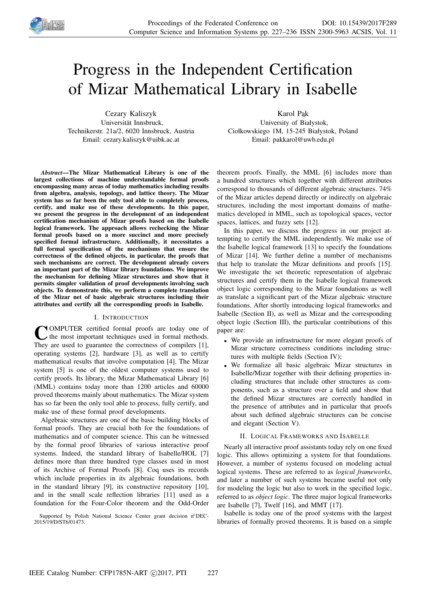

# Progress in the Independent Certification of Mizar Mathematical Library in Isabelle

Cezary Kaliszyk Universität Innsbruck, Technikerstr. 21a/2, 6020 Innsbruck, Austria Email: cezary.kaliszyk@uibk.ac.at

Karol Pak University of Białystok, Ciołkowskiego 1M, 15-245 Białystok, Poland Email: pakkarol@uwb.edu.pl

*Abstract*—The Mizar Mathematical Library is one of the largest collections of machine understandable formal proofs encompassing many areas of today mathematics including results from algebra, analysis, topology, and lattice theory. The Mizar system has so far been the only tool able to completely process, certify, and make use of these developments. In this paper, we present the progress in the development of an independent certification mechanism of Mizar proofs based on the Isabelle logical framework. The approach allows rechecking the Mizar formal proofs based on a more succinct and more precisely specified formal infrastructure. Additionally, it necessitates a full formal specification of the mechanisms that ensure the correctness of the defined objects, in particular, the proofs that such mechanisms are correct. The development already covers an important part of the Mizar library foundations. We improve the mechanism for defining Mizar structures and show that it permits simpler validation of proof developments involving such objects. To demonstrate this, we perform a complete translation of the Mizar net of basic algebraic structures including their attributes and certify all the corresponding proofs in Isabelle.

## I. INTRODUCTION

COMPUTER certified formal proofs are today one of<br>the most important techniques used in formal methods. OMPUTER certified formal proofs are today one of They are used to guarantee the correctness of compilers [1], operating systems [2], hardware [3], as well as to certify mathematical results that involve computation [4]. The Mizar system [5] is one of the oldest computer systems used to certify proofs. Its library, the Mizar Mathematical Library [6] (MML) contains today more than 1200 articles and 60000 proved theorems mainly about mathematics. The Mizar system has so far been the only tool able to process, fully certify, and make use of these formal proof developments.

Algebraic structures are one of the basic building blocks of formal proofs. They are crucial both for the foundations of mathematics and of computer science. This can be witnessed by the formal proof libraries of various interactive proof systems. Indeed, the standard library of Isabelle/HOL [7] defines more than three hundred type classes used in most of its Archive of Formal Proofs [8]. Coq uses its records which include properties in its algebraic foundations, both in the standard library [9], its constructive repository [10], and in the small scale reflection libraries [11] used as a foundation for the Four-Color theorem and the Odd-Order

Supported by Polish National Science Center grant decision n°DEC-2015/19/D/ST6/01473.

theorem proofs. Finally, the MML [6] includes more than a hundred structures which together with different attributes correspond to thousands of different algebraic structures. 74% of the Mizar articles depend directly or indirectly on algebraic structures, including the most important domains of mathematics developed in MML, such as topological spaces, vector spaces, lattices, and fuzzy sets [12].

In this paper, we discuss the progress in our project attempting to certify the MML independently. We make use of the Isabelle logical framework [13] to specify the foundations of Mizar [14]. We further define a number of mechanisms that help to translate the Mizar definitions and proofs [15]. We investigate the set theoretic representation of algebraic structures and certify them in the Isabelle logical framework object logic corresponding to the Mizar foundations as well as translate a significant part of the Mizar algebraic structure foundations. After shortly introducing logical frameworks and Isabelle (Section II), as well as Mizar and the corresponding object logic (Section III), the particular contributions of this paper are:

- We provide an infrastructure for more elegant proofs of Mizar structure correctness conditions including structures with multiple fields (Section IV);
- We formalize all basic algebraic Mizar structures in Isabelle/Mizar together with their defining properties including structures that include other structures as components, such as a structure over a field and show that the defined Mizar structures are correctly handled in the presence of attributes and in particular that proofs about such defined algebraic structures can be concise and elegant (Section V).

# II. LOGICAL FRAMEWORKS AND ISABELLE

Nearly all interactive proof assistants today rely on one fixed logic. This allows optimizing a system for that foundations. However, a number of systems focused on modeling actual logical systems. These are referred to as *logical frameworks*, and later a number of such systems became useful not only for modeling the logic but also to work in the specified logic, referred to as *object logic*. The three major logical frameworks are Isabelle [7], Twelf [16], and MMT [17].

Isabelle is today one of the proof systems with the largest libraries of formally proved theorems. It is based on a simple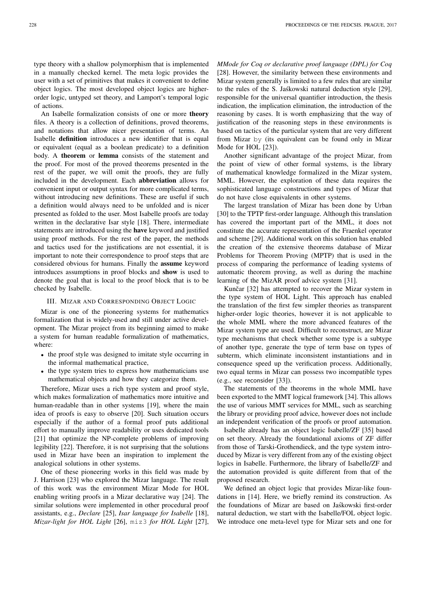type theory with a shallow polymorphism that is implemented in a manually checked kernel. The meta logic provides the user with a set of primitives that makes it convenient to define object logics. The most developed object logics are higherorder logic, untyped set theory, and Lamport's temporal logic of actions.

An Isabelle formalization consists of one or more theory files. A theory is a collection of definitions, proved theorems, and notations that allow nicer presentation of terms. An Isabelle definition introduces a new identifier that is equal or equivalent (equal as a boolean predicate) to a definition body. A theorem or lemma consists of the statement and the proof. For most of the proved theorems presented in the rest of the paper, we will omit the proofs, they are fully included in the development. Each abbreviation allows for convenient input or output syntax for more complicated terms, without introducing new definitions. These are useful if such a definition would always need to be unfolded and is nicer presented as folded to the user. Most Isabelle proofs are today written in the declarative Isar style [18]. There, intermediate statements are introduced using the have keyword and justified using proof methods. For the rest of the paper, the methods and tactics used for the justifications are not essential, it is important to note their correspondence to proof steps that are considered obvious for humans. Finally the assume keyword introduces assumptions in proof blocks and show is used to denote the goal that is local to the proof block that is to be checked by Isabelle.

# III. MIZAR AND CORRESPONDING OBJECT LOGIC

Mizar is one of the pioneering systems for mathematics formalization that is widely-used and still under active development. The Mizar project from its beginning aimed to make a system for human readable formalization of mathematics, where:

- the proof style was designed to imitate style occurring in the informal mathematical practice,
- the type system tries to express how mathematicians use mathematical objects and how they categorize them.

Therefore, Mizar uses a rich type system and proof style, which makes formalization of mathematics more intuitive and human-readable than in other systems [19], where the main idea of proofs is easy to observe [20]. Such situation occurs especially if the author of a formal proof puts additional effort to manually improve readability or uses dedicated tools [21] that optimize the NP-complete problems of improving legibility [22]. Therefore, it is not surprising that the solutions used in Mizar have been an inspiration to implement the analogical solutions in other systems.

One of these pioneering works in this field was made by J. Harrison [23] who explored the Mizar language. The result of this work was the environment Mizar Mode for HOL enabling writing proofs in a Mizar declarative way [24]. The similar solutions were implemented in other procedural proof assistants, e.g., *Declare* [25], *Isar language for Isabelle* [18], *Mizar-light for HOL Light* [26], miz3 *for HOL Light* [27],

*MMode for Coq or declarative proof language (DPL) for Coq* [28]. However, the similarity between these environments and Mizar system generally is limited to a few rules that are similar to the rules of the S. Jaskowski natural deduction style [29], responsible for the universal quantifier introduction, the thesis indication, the implication elimination, the introduction of the reasoning by cases. It is worth emphasizing that the way of justification of the reasoning steps in these environments is based on tactics of the particular system that are very different from Mizar by (its equivalent can be found only in Mizar Mode for HOL [23]).

Another significant advantage of the project Mizar, from the point of view of other formal systems, is the library of mathematical knowledge formalized in the Mizar system, MML. However, the exploration of these data requires the sophisticated language constructions and types of Mizar that do not have close equivalents in other systems.

The largest translation of Mizar has been done by Urban [30] to the TPTP first-order language. Although this translation has covered the important part of the MML, it does not constitute the accurate representation of the Fraenkel operator and scheme [29]. Additional work on this solution has enabled the creation of the extensive theorems database of Mizar Problems for Theorem Proving (MPTP) that is used in the process of comparing the performance of leading systems of automatic theorem proving, as well as during the machine learning of the MizAR proof advice system [31].

Kunčar [32] has attempted to recover the Mizar system in the type system of HOL Light. This approach has enabled the translation of the first few simpler theories as transparent higher-order logic theories, however it is not applicable to the whole MML where the more advanced features of the Mizar system type are used. Difficult to reconstruct, are Mizar type mechanisms that check whether some type is a subtype of another type, generate the type of term base on types of subterm, which eliminate inconsistent instantiations and in consequence speed up the verification process. Additionally, two equal terms in Mizar can possess two incompatible types (e.g., see reconsider [33]).

The statements of the theorems in the whole MML have been exported to the MMT logical framework [34]. This allows the use of various MMT services for MML, such as searching the library or providing proof advice, however does not include an independent verification of the proofs or proof automation.

Isabelle already has an object logic Isabelle/ZF [35] based on set theory. Already the foundational axioms of ZF differ from those of Tarski-Grothendieck, and the type system introduced by Mizar is very different from any of the existing object logics in Isabelle. Furthermore, the library of Isabelle/ZF and the automation provided is quite different from that of the proposed research.

We defined an object logic that provides Mizar-like foundations in [14]. Here, we briefly remind its construction. As the foundations of Mizar are based on Jaskowski first-order natural deduction, we start with the Isabelle/FOL object logic. We introduce one meta-level type for Mizar sets and one for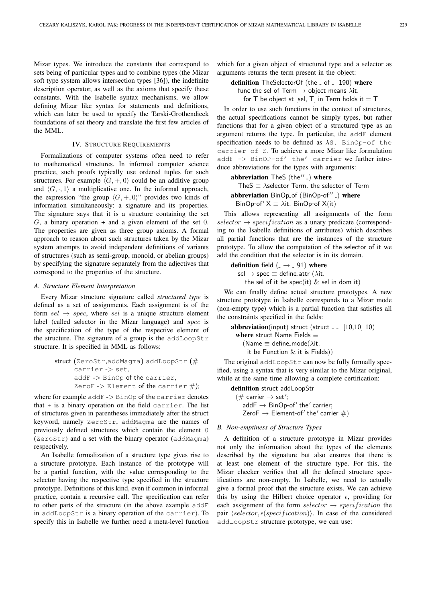Mizar types. We introduce the constants that correspond to sets being of particular types and to combine types (the Mizar soft type system allows intersection types [36]), the indefinite description operator, as well as the axioms that specify these constants. With the Isabelle syntax mechanisms, we allow defining Mizar like syntax for statements and definitions, which can later be used to specify the Tarski-Grothendieck foundations of set theory and translate the first few articles of the MML.

# IV. STRUCTURE REQUIREMENTS

Formalizations of computer systems often need to refer to mathematical structures. In informal computer science practice, such proofs typically use ordered tuples for such structures. For example  $\langle G, +, 0 \rangle$  could be an additive group and  $\langle G, \cdot, 1 \rangle$  a multiplicative one. In the informal approach, the expression "the group  $\langle G, +, 0 \rangle$ " provides two kinds of information simultaneously: a signature and its properties. The signature says that it is a structure containing the set  $G$ , a binary operation  $+$  and a given element of the set 0. The properties are given as three group axioms. A formal approach to reason about such structures taken by the Mizar system attempts to avoid independent definitions of variants of structures (such as semi-group, monoid, or abelian groups) by specifying the signature separately from the adjectives that correspond to the properties of the structure.

# *A. Structure Element Interpretation*

Every Mizar structure signature called *structured type* is defined as a set of assignments. Each assignment is of the form  $sel \rightarrow spec$ , where sel is a unique structure element label (called selector in the Mizar language) and spec is the specification of the type of the respective element of the structure. The signature of a group is the addLoopStr structure. It is specified in MML as follows:

struct (ZeroStr,addMagma) addLoopStr (# carrier -> set, addF -> BinOp of the carrier, ZeroF -> Element of the carrier #);

where for example addF -> BinOp of the carrier denotes that  $+$  is a binary operation on the field carrier. The list of structures given in parentheses immediately after the struct keyword, namely ZeroStr, addMagma are the names of previously defined structures which contain the element 0 (ZeroStr) and a set with the binary operator (addMagma) respectively.

An Isabelle formalization of a structure type gives rise to a structure prototype. Each instance of the prototype will be a partial function, with the value corresponding to the selector having the respective type specified in the structure prototype. Definitions of this kind, even if common in informal practice, contain a recursive call. The specification can refer to other parts of the structure (in the above example addF in addLoopStr is a binary operation of the carrier). To specify this in Isabelle we further need a meta-level function which for a given object of structured type and a selector as arguments returns the term present in the object:

definition TheSelectorOf (the - of - 190) where func the sel of Term  $\rightarrow$  object means  $\lambda$ it. for T be object st [sel, T] in Term holds it  $=$  T

In order to use such functions in the context of structures, the actual specifications cannot be simply types, but rather functions that for a given object of a structured type as an argument returns the type. In particular, the addF element specification needs to be defined as  $\lambda$ S. BinOp-of the carrier of S. To achieve a more Mizar like formulation addF -> BinOP-of' the' carrier we further introduce abbreviations for the types with arguments:

abbreviation TheS (the" -) where TheS  $\equiv$   $\lambda$ selector Term. the selector of Term abbreviation BinOp<sub>-Of</sub> (BinOp-of"<sub>-</sub>) where BinOp-of'  $X \equiv \lambda$ it. BinOp-of  $X(it)$ 

This allows representing all assignments of the form  $selector \rightarrow specification$  as a unary predicate (corresponding to the Isabelle definitions of attributes) which describes all partial functions that are the instances of the structure prototype. To allow the computation of the selector of it we add the condition that the selector is in its domain.

**definition** field 
$$
(. \rightarrow . 91)
$$
 where  
sel  $\rightarrow$  spec  $\equiv$  define\_attr ( $\lambda$ it.  
the sel of it be spec(it) & sel in dom it)

We can finally define actual structure prototypes. A new structure prototype in Isabelle corresponds to a Mizar mode (non-empty type) which is a partial function that satisfies all the constraints specified in the fields:

```
abbreviation(input) struct (struct \sim [10,10] 10)
 where struct Name Fields \equiv(Name \equiv define_mode(\lambdait.
      it be Function & it is Fields))
```
The original  $addLoopStr$  can now be fully formally specified, using a syntax that is very similar to the Mizar original, while at the same time allowing a complete certification:

definition struct addLoopStr  $(\#$  carrier  $\rightarrow$  set';  $addF \rightarrow BinOp-of'$  the' carrier; ZeroF  $\rightarrow$  Element-of' the' carrier  $\#$ )

# *B. Non-emptiness of Structure Types*

A definition of a structure prototype in Mizar provides not only the information about the types of the elements described by the signature but also ensures that there is at least one element of the structure type. For this, the Mizar checker verifies that all the defined structure specifications are non-empty. In Isabelle, we need to actually give a formal proof that the structure exists. We can achieve this by using the Hilbert choice operator  $\epsilon$ , providing for each assignment of the form selector  $\rightarrow$  specification the pair  $\langle selector, \epsilon (specification) \rangle$ . In case of the considered addLoopStr structure prototype, we can use: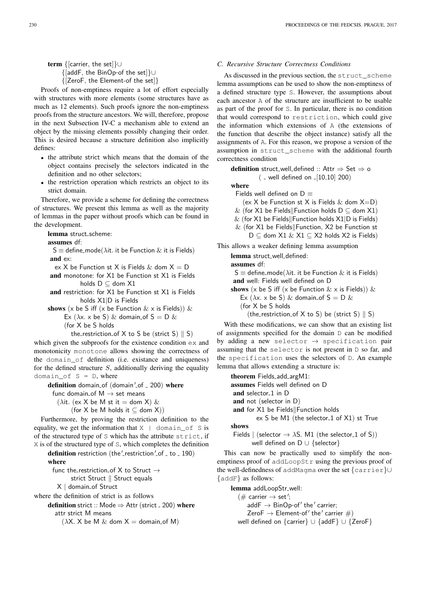term {[carrier, the set]}∪ {[addF, the BinOp-of the set]}∪ {[ZeroF, the Element-of the set]}

Proofs of non-emptiness require a lot of effort especially with structures with more elements (some structures have as much as 12 elements). Such proofs ignore the non-emptiness proofs from the structure ancestors. We will, therefore, propose in the next Subsection IV-C a mechanism able to extend an object by the missing elements possibly changing their order. This is desired because a structure definition also implicitly defines:

- the attribute strict which means that the domain of the object contains precisely the selectors indicated in the definition and no other selectors;
- the restriction operation which restricts an object to its strict domain.

Therefore, we provide a scheme for defining the correctness of structures. We present this lemma as well as the majority of lemmas in the paper without proofs which can be found in the development.

lemma struct-scheme:

assumes df:

 $S \equiv$  define-mode( $\lambda$ it. it be Function  $\&$  it is Fields) and ex:

ex X be Function st X is Fields  $\&$  dom  $X = D$ 

and monotone: for X1 be Function st X1 is Fields holds D ⊆ dom X1

and restriction: for X1 be Function st X1 is Fields holds X1|D is Fields

shows (x be S iff (x be Function  $\&$  x is Fields))  $\&$ 

Ex ( $\lambda$ x. x be S) & domain\_of S = D &

(for X be S holds

the\_restriction\_of X to S be (strict S)  $\parallel$  S)

which given the subproofs for the existence condition ex and monotonicity monotone allows showing the correctness of the domain of definition (i.e. existance and uniqueness) for the defined structure  $S$ , additionally deriving the equality domain\_of  $S = D$ , where

definition domain\_of (domain'\_of \_ 200) where

func domain\_of  $M \rightarrow$  set means

```
(\lambdait. (ex X be M st it = dom X) &
```

```
(for X be M holds it \subseteq dom X))
```
Furthermore, by proving the restriction definition to the equality, we get the information that  $X \perp \text{domain_of } s$  is of the structured type of S which has the attribute strict, if X is of the structured type of S, which completes the definition

definition restriction (the'\_restriction'\_of \_ to \_ 190) where

func the\_restriction\_of  $\times$  to Struct  $\rightarrow$ 

strict Struct  $\parallel$  Struct equals

X | domain-of Struct

where the definition of strict is as follows

**definition** strict :: Mode  $\Rightarrow$  Attr (strict  $=$  200) where attr strict M means

( $\lambda$ X. X be M & dom X = domain\_of M)

# *C. Recursive Structure Correctness Conditions*

As discussed in the previous section, the struct scheme lemma assumptions can be used to show the non-emptiness of a defined structure type S. However, the assumptions about each ancestor A of the structure are insufficient to be usable as part of the proof for S. In particular, there is no condition that would correspond to restriction, which could give the information which extensions of A (the extensions of the function that describe the object instance) satisfy all the assignments of A. For this reason, we propose a version of the assumption in struct\_scheme with the additional fourth correctness condition

**definition** struct\_well\_defined :: Attr  $\Rightarrow$  Set  $\Rightarrow$  0  $($   $\sim$  well defined on  $(10, 10)$  200) where Fields well defined on  $D \equiv$ (ex X be Function st X is Fields  $\&$  dom  $X=D$ ) & (for X1 be Fields||Function holds  $D \subseteq$  dom X1) & (for X1 be Fields||Function holds  $X1|D$  is Fields)  $&$  (for X1 be Fields||Function, X2 be Function st D ⊆ dom X1 & X1 ⊆ X2 holds X2 is Fields)

This allows a weaker defining lemma assumption

lemma struct-well-defined:

assumes df:  $S \equiv$  define\_mode( $\lambda$ it. it be Function  $\&$  it is Fields) and well: Fields well defined on D shows (x be S iff (x be Function  $\&$  x is Fields))  $\&$ Ex ( $\lambda$ x. x be S) & domain\_of S = D & (for X be S holds

(the restriction of X to S) be (strict S)  $\parallel$  S)

With these modifications, we can show that an existing list of assignments specified for the domain D can be modified by adding a new selector  $\rightarrow$  specification pair assuming that the selector is not present in D so far, and the specification uses the selectors of D. An example lemma that allows extending a structure is:

theorem Fields-add-argM1: assumes Fields well defined on D and selector<sub>-1</sub> in D and not (selector in D) and for X1 be Fields||Function holds ex S be M1 (the selector<sub>-1</sub> of X1) st True shows

```
Fields | (selector \rightarrow \lambda S. M1 (the selector<sub>-1</sub> of S))
        well defined on D ∪ {selector}
```
This can now be practically used to simplify the nonemptiness proof of addLoopStr using the previous proof of the well-definedness of addMagma over the set {carrier}∪ {addF} as follows:

lemma addLoopStr-well:  $(\#$  carrier  $\rightarrow$  set';

 $addF \rightarrow BinOp-of'$  the' carrier; ZeroF  $\rightarrow$  Element-of' the' carrier  $\#$ ) well defined on {carrier} ∪ {addF} ∪ {ZeroF}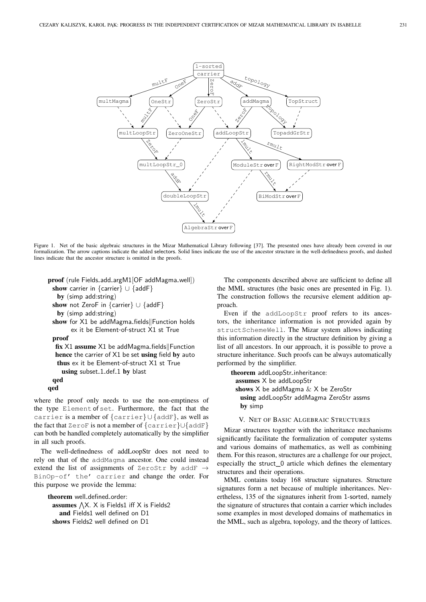

Figure 1. Net of the basic algebraic structures in the Mizar Mathematical Library following [37]. The presented ones have already been covered in our formalization. The arrow captions indicate the added selectors. Solid lines indicate the use of the ancestor structure in the well-definedness proofs, and dashed lines indicate that the ancestor structure is omitted in the proofs.

```
proof (rule Fields-add-argM1[OF addMagma-well])
```

```
show carrier in {carrier} ∪ {addF}
```

```
by (simp add:string)
```

```
show not ZeroF in {carrier} ∪ {addF}
```
by (simp add:string)

```
show for X1 be addMagma_fields Function holds
      ex it be Element-of-struct X1 st True
```

```
proof
```

```
fix X1 assume X1 be addMagma_fields Function
hence the carrier of X1 be set using field by auto
thus ex it be Element-of-struct X1 st True
  using subset<sub>-1-def-1</sub> by blast
```

```
qed
```
qed

where the proof only needs to use the non-emptiness of the type Element of set. Furthermore, the fact that the carrier is a member of {carrier} ∪ {addF}, as well as the fact that ZeroF is not a member of {carrier}∪{addF} can both be handled completely automatically by the simplifier in all such proofs.

The well-definedness of addLoopStr does not need to rely on that of the addMagma ancestor. One could instead extend the list of assignments of ZeroStr by addF  $\rightarrow$ BinOp-of' the' carrier and change the order. For this purpose we provide the lemma:

theorem well-defined-order: assumes  $\bigwedge X$ . X is Fields1 iff X is Fields2 and Fields1 well defined on D1 shows Fields2 well defined on D1

The components described above are sufficient to define all the MML structures (the basic ones are presented in Fig. 1). The construction follows the recursive element addition approach.

Even if the addLoopStr proof refers to its ancestors, the inheritance information is not provided again by structSchemeWell. The Mizar system allows indicating this information directly in the structure definition by giving a list of all ancestors. In our approach, it is possible to prove a structure inheritance. Such proofs can be always automatically performed by the simplifier.

theorem addLoopStr-inheritance: assumes X be addLoopStr shows X be addMagma & X be ZeroStr using addLoopStr addMagma ZeroStr assms by simp

# V. NET OF BASIC ALGEBRAIC STRUCTURES

Mizar structures together with the inheritance mechanisms significantly facilitate the formalization of computer systems and various domains of mathematics, as well as combining them. For this reason, structures are a challenge for our project, especially the struct\_0 article which defines the elementary structures and their operations.

MML contains today 168 structure signatures. Structure signatures form a net because of multiple inheritances. Nevertheless, 135 of the signatures inherit from 1-sorted, namely the signature of structures that contain a carrier which includes some examples in most developed domains of mathematics in the MML, such as algebra, topology, and the theory of lattices.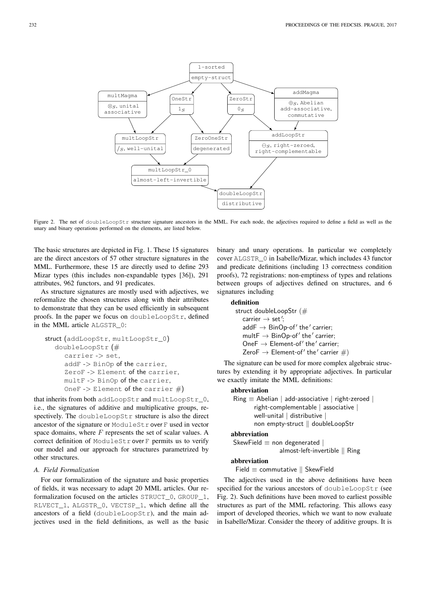

Figure 2. The net of doubleLoopStr structure signature ancestors in the MML. For each node, the adjectives required to define a field as well as the unary and binary operations performed on the elements, are listed below.

The basic structures are depicted in Fig. 1. These 15 signatures are the direct ancestors of 57 other structure signatures in the MML. Furthermore, these 15 are directly used to define 293 Mizar types (this includes non-expandable types [36]), 291 attributes, 962 functors, and 91 predicates.

As structure signatures are mostly used with adjectives, we reformalize the chosen structures along with their attributes to demonstrate that they can be used efficiently in subsequent proofs. In the paper we focus on doubleLoopStr, defined in the MML article ALGSTR\_0:

```
struct (addLoopStr, multLoopStr_0)
  doubleLoopStr (#
     carrier -> set,
     addF -> BinOp of the carrier,
     ZeroF -> Element of the carrier,
     multF -> BinOp of the carrier,
     OneF -> Element of the carrier #)
```
that inherits from both addLoopStr and multLoopStr 0. i.e., the signatures of additive and multiplicative groups, respectively. The doubleLoopStr structure is also the direct ancestor of the signature or ModuleStr over F used in vector space domains, where  $F$  represents the set of scalar values. A correct definition of ModuleStr over F permits us to verify our model and our approach for structures parametrized by other structures.

# *A. Field Formalization*

For our formalization of the signature and basic properties of fields, it was necessary to adapt 20 MML articles. Our reformalization focused on the articles STRUCT\_0, GROUP\_1, RLVECT 1, ALGSTR 0, VECTSP 1, which define all the ancestors of a field (doubleLoopStr), and the main adjectives used in the field definitions, as well as the basic binary and unary operations. In particular we completely cover ALGSTR\_0 in Isabelle/Mizar, which includes 43 functor and predicate definitions (including 13 correctness condition proofs), 72 registrations: non-emptiness of types and relations between groups of adjectives defined on structures, and 6 signatures including

# definition

struct doubleLoopStr (#  $\text{carrier} \rightarrow \text{set}$ ';  $addF \rightarrow BinOp-of'$  the' carrier;  $multF \rightarrow BinOp-of'$  the' carrier; OneF  $\rightarrow$  Element-of' the' carrier; ZeroF  $\rightarrow$  Element-of' the' carrier  $\#$ )

The signature can be used for more complex algebraic structures by extending it by appropriate adjectives. In particular we exactly imitate the MML definitions:

#### abbreviation

```
Ring \equiv Abelian | add-associative | right-zeroed |
        right-complementable | associative |
        well-unital | distributive |
        non empty-struct || doubleLoopStr
```
#### abbreviation

SkewField  $\equiv$  non degenerated | almost-left-invertible  $\parallel$  Ring

#### abbreviation

# Field  $\equiv$  commutative  $\parallel$  SkewField

The adjectives used in the above definitions have been specified for the various ancestors of doubleLoopStr (see Fig. 2). Such definitions have been moved to earliest possible structures as part of the MML refactoring. This allows easy import of developed theories, which we want to now evaluate in Isabelle/Mizar. Consider the theory of additive groups. It is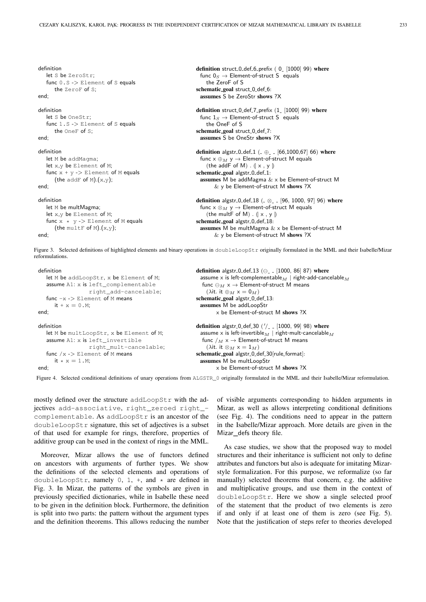definition let S be ZeroStr; func 0.S -> Element of S equals the ZeroF of S; end;

#### definition

let S be OneStr; func 1.S -> Element of S equals the OneF of  $S^1$ end;

definition let M be addMagma; let x,y be Element of M; func  $x + y \rightarrow$  Element of M equals (the addF of M). $(x,y)$ ; end;

```
definition
  let M be multMagma;
  let x,y be Element of M;
  func x * y -> Element of M equals
      (the multF of M).(x,y);
end;
```
definition struct\_0\_def\_6\_prefix  $( 0_$  [1000] 99) where func  $0_s \rightarrow$  Element-of-struct S equals the ZeroF of S schematic\_goal struct\_0\_def\_6: assumes S be ZeroStr shows ?X definition struct\_0\_def\_7\_prefix  $(1 - [1000] 99)$  where func  $1_S \rightarrow$  Element-of-struct S equals the OneF of S

schematic<sub>-goal</sub> struct<sub>-0-def</sub> 7: assumes S be OneStr shows ?X **definition** algstr<sub>-0-</sub>def<sub>-1</sub> ( $\theta$ <sub>-</sub>  $\theta$ <sub>-</sub> [66,1000,67] 66) where func  $x \oplus_M y \rightarrow$  Element-of-struct M equals

(the addF of M) .  $(| \times , y |)$ 

schematic\_goal algstr\_0\_def\_1: assumes M be addMagma  $& x$  be Element-of-struct M & y be Element-of-struct M shows ?X

**definition** algstr<sub>-</sub>0<sub>-</sub>def<sub>-18</sub> ( $\leq$   $\in$  - [96, 1000, 97] 96) where func  $x \otimes_M y \rightarrow$  Element-of-struct M equals (the multF of M) .  $(| \times , y |)$ schematic\_goal algstr\_0\_def\_18: assumes M be multMagma  $& x$  be Element-of-struct M & y be Element-of-struct M shows ?X

Figure 3. Selected definitions of highlighted elements and binary operations in doubleLoopStr originally formulated in the MML and their Isabelle/Mizar reformulations.

```
definition
   let M be addLoopStr, x be Element of M;
   assume A1: x is left_complementable
                    right_add-cancelable;
   func -x -> Element of M means
      it + x = 0.M;
end;
definition
   let M be multLoopStr, x be Element of M;
   assume A1: x is left invertible
                    right_mult-cancelable;
   func /x -> Element of M means
      it * x = 1. M:
end;
                                                                   definition algstr<sub>-</sub>0<sub>-</sub>def<sub>-13</sub> (\ominus<sub>-</sub> [1000, 86] 87) where
                                                                    assume x is left-complementable_M | right-add-cancelable_Mfunc \ominus_M x \rightarrow Element-of-struct M means
                                                                       (\lambdait. it \oplus_M x = 0_M)
                                                                  schematic_goal algstr_0_def_13:
                                                                    assumes M be addLoopStr
                                                                           x be Element-of-struct M shows ?X
                                                                   definition algstr_0_def_30 (\frac{\prime}{\prime} = [1000, 99] 98) where
                                                                    assume x is left-invertible M \mid right-mult-cancelable Mfunc /M \times \rightarrow Element-of-struct M means
                                                                       (\lambdait. it \otimes_M x = 1_M)
                                                                   schematic-goal algstr-0-def-30[rule-
format]:
                                                                    assumes M be multLoopStr
                                                                           x be Element-of-struct M shows ?X
```
Figure 4. Selected conditional definitions of unary operations from ALGSTR\_0 originally formulated in the MML and their Isabelle/Mizar reformulation.

mostly defined over the structure addLoopStr with the adjectives add-associative, right\_zeroed right\_ complementable. As addLoopStr is an ancestor of the doubleLoopStr signature, this set of adjectives is a subset of that used for example for rings, therefore, properties of additive group can be used in the context of rings in the MML.

Moreover, Mizar allows the use of functors defined on ancestors with arguments of further types. We show the definitions of the selected elements and operations of doubleLoopStr, namely 0, 1, +, and  $*$  are defined in Fig. 3. In Mizar, the patterns of the symbols are given in previously specified dictionaries, while in Isabelle these need to be given in the definition block. Furthermore, the definition is split into two parts: the pattern without the argument types and the definition theorems. This allows reducing the number of visible arguments corresponding to hidden arguments in Mizar, as well as allows interpreting conditional definitions (see Fig. 4). The conditions need to appear in the pattern in the Isabelle/Mizar approach. More details are given in the Mizar\_defs theory file.

As case studies, we show that the proposed way to model structures and their inheritance is sufficient not only to define attributes and functors but also is adequate for imitating Mizarstyle formalization. For this purpose, we reformalize (so far manually) selected theorems that concern, e.g. the additive and multiplicative groups, and use them in the context of doubleLoopStr. Here we show a single selected proof of the statement that the product of two elements is zero if and only if at least one of them is zero (see Fig. 5). Note that the justification of steps refer to theories developed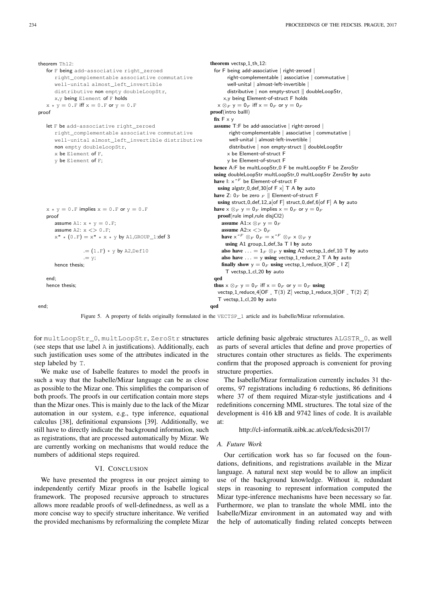theorem Th12:

```
for F being add-associative right_zeroed
       right_complementable associative commutative
       well-unital almost_left_invertible
       distributive non empty doubleLoopStr,
       x,y being Element of F holds
   x * y = 0.F iff x = 0.F or y = 0.Fproof
   let F be add-associative right_zeroed
       right_complementable associative commutative
       well-unital almost_left_invertible distributive
       non empty doubleLoopStr,
       x be Element of F,
       y be Element of F;
   x * y = 0.F implies x = 0.F or y = 0.Fproof
       assume A1: x * v = 0.F:
       assume A2: x \leq 0.F:
       x'' * (0.F) = x'' * x * y by A1, GROUP_1:def 3
                   .=(1.F)*y by A2, Def10
                   . = v;
       hence thesis;
    end;
   hence thesis;
end;
                                                                            theorem vectsp<sub>-1-th-12</sub>:
                                                                             for F being add-associative | right-zeroed |
                                                                                   right-complementable | associative | commutative |
                                                                                   well-unital | almost-left-invertible |
                                                                                   distributive | non empty-struct || doubleLoopStr,
                                                                                 x,y being Element-of-struct F holds
                                                                               x \otimes_F y = 0_F iff x = 0_F or y = 0_Fproof(intro ballI)
                                                                             fix F \times yassume T:F be add-associative | right-zeroed |
                                                                                    right-complementable | associative | commutative |
                                                                                    well-unital | almost-left-invertible |
                                                                                    distributive | non empty-struct || doubleLoopStr
                                                                                   x be Element-of-struct F
                                                                                   y be Element-of-struct F
                                                                             hence A:F be multLoopStr-0 F be multLoopStr F be ZeroStr
                                                                             using doubleLoopStr multLoopStr-0 multLoopStr ZeroStr by auto
                                                                              have \mathsf{I}: \times''^F be Element-of-struct F
                                                                               using algstr_0_def_30 of F \times T T A by auto
                                                                             have Z: 0_F be zero _F || Element-of-struct F
                                                                               using struct<sub>-</sub>0<sub>-</sub>def<sub>-</sub>12<sub>-a</sub>[of F] struct<sub>-0-</sub>def<sub>-</sub>6[of F] A by auto
                                                                             have x \otimes_F y = 0_F implies x = 0_F or y = 0_Fproof(rule impI,rule disjCI2)
                                                                                assume A1:x \otimes_F y = 0assume A2: x \leq 0_Fhave x''^F \otimes_F 0_F = x''^F \otimes_F x \otimes_F yusing A1 group_1_def_3a T | by auto
                                                                                 also have \dots = 1_F \otimes_F y using A2 vectsp_1_def_10 T by auto
                                                                                 also have \ldots = y using vectsp<sub>-1-reduce-2</sub> T A by auto
                                                                                 finally show y = 0_F using vectsp<sub>-1-reduce-3</sub> [OF - 1 Z]
                                                                                   T vectsp<sub>_1_cl_20</sub> by auto
                                                                              qed
                                                                             thus x \otimes_F y = 0_F iff x = 0_F or y = 0_F using
                                                                               vectors p_1_{reduce_4[OF - T(3) Z] \text{ vectors } p_1_{reduce_3[OF - T(2) Z]}T vectsp<sub>_1_cl_20</sub> by auto
                                                                            qed
```
Figure 5. A property of fields originally formulated in the VECTSP\_1 article and its Isabelle/Mizar reformulation.

for multLoopStr\_0, multLoopStr, ZeroStr structures (see steps that use label A in justifications). Additionally, each such justification uses some of the attributes indicated in the step labeled by T.

We make use of Isabelle features to model the proofs in such a way that the Isabelle/Mizar language can be as close as possible to the Mizar one. This simplifies the comparison of both proofs. The proofs in our certification contain more steps than the Mizar ones. This is mainly due to the lack of the Mizar automation in our system, e.g., type inference, equational calculus [38], definitional expansions [39]. Additionally, we still have to directly indicate the background information, such as registrations, that are processed automatically by Mizar. We are currently working on mechanisms that would reduce the numbers of additional steps required.

# VI. CONCLUSION

We have presented the progress in our project aiming to independently certify Mizar proofs in the Isabelle logical framework. The proposed recursive approach to structures allows more readable proofs of well-definedness, as well as a more concise way to specify structure inheritance. We verified the provided mechanisms by reformalizing the complete Mizar article defining basic algebraic structures ALGSTR\_0, as well as parts of several articles that define and prove properties of structures contain other structures as fields. The experiments confirm that the proposed approach is convenient for proving structure properties.

The Isabelle/Mizar formalization currently includes 31 theorems, 97 registrations including 6 reductions, 86 definitions where 37 of them required Mizar-style justifications and 4 redefinitions concerning MML structures. The total size of the development is 416 kB and 9742 lines of code. It is available at:

http://cl-informatik.uibk.ac.at/cek/fedcsis2017/

# *A. Future Work*

Our certification work has so far focused on the foundations, definitions, and registrations available in the Mizar language. A natural next step would be to allow an implicit use of the background knowledge. Without it, redundant steps in reasoning to represent information computed the Mizar type-inference mechanisms have been necessary so far. Furthermore, we plan to translate the whole MML into the Isabelle/Mizar environment in an automated way and with the help of automatically finding related concepts between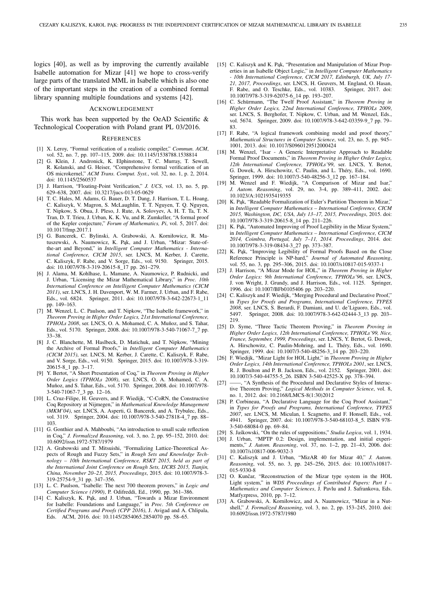logics [40], as well as by improving the currently available Isabelle automation for Mizar [41] we hope to cross-verify large parts of the translated MML in Isabelle which is also one of the important steps in the creation of a combined formal library spanning multiple foundations and systems [42].

# ACKNOWLEDGEMENT

This work has been supported by the OeAD Scientific & Technological Cooperation with Poland grant PL 03/2016.

### **REFERENCES**

- [1] X. Leroy, "Formal verification of a realistic compiler," *Commun. ACM*, vol. 52, no. 7, pp. 107-115, 2009. doi: 10.1145/1538788.1538814
- [2] G. Klein, J. Andronick, K. Elphinstone, T. C. Murray, T. Sewell, R. Kolanski, and G. Heiser, "Comprehensive formal verification of an OS microkernel," *ACM Trans. Comput. Syst.*, vol. 32, no. 1, p. 2, 2014. doi: 10.1145/2560537
- [3] J. Harrison, "Floating-Point Verification," *J. UCS*, vol. 13, no. 5, pp. 629–638, 2007. doi: 10.3217/jucs-013-05-0629
- [4] T. C. Hales, M. Adams, G. Bauer, D. T. Dang, J. Harrison, T. L. Hoang, C. Kaliszyk, V. Magron, S. McLaughlin, T. T. Nguyen, T. Q. Nguyen, T. Nipkow, S. Obua, J. Pleso, J. Rute, A. Solovyev, A. H. T. Ta, T. N. Tran, D. T. Trieu, J. Urban, K. K. Vu, and R. Zumkeller, "A formal proof of the Kepler conjecture," *Forum of Mathematics, Pi*, vol. 5, 2017. doi: 10.1017/fmp.2017.1
- [5] G. Bancerek, C. Bylinski, A. Grabowski, A. Korniłowicz, R. Matuszewski, A. Naumowicz, K. Pąk, and J. Urban, "Mizar: State-ofthe-art and Beyond," in *Intelligent Computer Mathematics - International Conference, CICM 2015*, ser. LNCS, M. Kerber, J. Carette, C. Kaliszyk, F. Rabe, and V. Sorge, Eds., vol. 9150. Springer, 2015. doi: 10.1007/978-3-319-20615-8\_17 pp. 261–279.
- [6] J. Alama, M. Kohlhase, L. Mamane, A. Naumowicz, P. Rudnicki, and J. Urban, "Licensing the Mizar Mathematical Library," in *Proc. 10th International Conference on Intelligent Computer Mathematics (CICM 2011)*, ser. LNCS, J. H. Davenport, W. M. Farmer, J. Urban, and F. Rabe, Eds., vol. 6824. Springer, 2011. doi: 10.1007/978-3-642-22673-1\_11 pp. 149–163.
- [7] M. Wenzel, L. C. Paulson, and T. Nipkow, "The Isabelle framework," in *Theorem Proving in Higher Order Logics, 21st International Conference, TPHOLs 2008*, ser. LNCS, O. A. Mohamed, C. A. Muñoz, and S. Tahar, Eds., vol. 5170. Springer, 2008. doi: 10.1007/978-3-540-71067-7\_7 pp. 33–38.
- [8] J. C. Blanchette, M. Haslbeck, D. Matichuk, and T. Nipkow, "Mining the Archive of Formal Proofs," in *Intelligent Computer Mathematics (CICM 2015)*, ser. LNCS, M. Kerber, J. Carette, C. Kaliszyk, F. Rabe, and V. Sorge, Eds., vol. 9150. Springer, 2015. doi: 10.1007/978-3-319- 20615-8\_1 pp. 3–17.
- [9] Y. Bertot, "A Short Presentation of Coq," in *Theorem Proving in Higher Order Logics (TPHOLs 2008)*, ser. LNCS, O. A. Mohamed, C. A. Muñoz, and S. Tahar, Eds., vol. 5170. Springer, 2008. doi: 10.1007/978- 3-540-71067-7\_3 pp. 12–16.
- [10] L. Cruz-Filipe, H. Geuvers, and F. Wiedijk, "C-CoRN, the Constructive Coq Repository at Nijmegen," in *Mathematical Knowledge Management (MKM'04)*, ser. LNCS, A. Asperti, G. Bancerek, and A. Trybulec, Eds., vol. 3119. Springer, 2004. doi: 10.1007/978-3-540-27818-4\_7 pp. 88– 103.
- [11] G. Gonthier and A. Mahboubi, "An introduction to small scale reflection in Coq," *J. Formalized Reasoning*, vol. 3, no. 2, pp. 95–152, 2010. doi: 10.6092/issn.1972-5787/1979
- [12] A. Grabowski and T. Mitsuishi, "Formalizing Lattice-Theoretical Aspects of Rough and Fuzzy Sets," in *Rough Sets and Knowledge Technology – 10th International Conference, RSKT 2015, held as part of the International Joint Conference on Rough Sets, IJCRS 2015, Tianjin, China, November 20–23, 2015, Proceedings*, 2015. doi: 10.1007/978-3- 319-25754-9\_31 pp. 347–356.
- [13] L. C. Paulson, "Isabelle: The next 700 theorem provers," in *Logic and Computer Science (1990)*, P. Odifreddi, Ed., 1990, pp. 361–386.
- [14] C. Kaliszyk, K. Pak, and J. Urban, "Towards a Mizar Environment for Isabelle: Foundations and Language," in *Proc. 5th Conference on Certified Programs and Proofs (CPP 2016)*, J. Avigad and A. Chlipala, Eds. ACM, 2016. doi: 10.1145/2854065.2854070 pp. 58–65.
- [15]  $C$ . Kaliszyk and K. Pak, "Presentation and Manipulation of Mizar Properties in an Isabelle Object Logic," in *Intelligent Computer Mathematics - 10th International Conference, CICM 2017, Edinburgh, UK, July 17- 21, 2017, Proceedings*, ser. LNCS, H. Geuvers, M. England, O. Hasan, F. Rabe, and O. Teschke, Eds., vol. 10383. 10.1007/978-3-319-62075-6\_14 pp. 193–207.
- [16] C. Schürmann, "The Twelf Proof Assistant," in *Theorem Proving in Higher Order Logics, 22nd International Conference, TPHOLs 2009*, ser. LNCS, S. Berghofer, T. Nipkow, C. Urban, and M. Wenzel, Eds., vol. 5674. Springer, 2009. doi: 10.1007/978-3-642-03359-9\_7 pp. 79– 83.
- [17] F. Rabe, "A logical framework combining model and proof theory," *Mathematical Structures in Computer Science*, vol. 23, no. 5, pp. 945– 1001, 2013. doi: 10.1017/S0960129512000424
- [18] M. Wenzel, "Isar A Generic Interpretative Approach to Readable Formal Proof Documents," in *Theorem Proving in Higher Order Logics, 12th International Conference, TPHOLs'99*, ser. LNCS, Y. Bertot, G. Dowek, A. Hirschowitz, C. Paulin, and L. Théry, Eds., vol. 1690. Springer, 1999. doi: 10.1007/3-540-48256-3\_12 pp. 167–184.
- [19] M. Wenzel and F. Wiedijk, "A Comparison of Mizar and Isar," *J. Autom. Reasoning*, vol. 29, no. 3-4, pp. 389–411, 2002. doi: 10.1023/A:1021935419355
- [20] K. Pak, "Readable Formalization of Euler's Partition Theorem in Mizar," in *Intelligent Computer Mathematics – International Conference, CICM 2015, Washington, DC, USA, July 13–17, 2015, Proceedings*, 2015. doi: 10.1007/978-3-319-20615-8\_14 pp. 211–226.
- [21] K. Pąk, "Automated Improving of Proof Legibility in the Mizar System," in *Intelligent Computer Mathematics – International Conference, CICM 2014, Coimbra, Portugal, July 7–11, 2014. Proceedings*, 2014. doi: 10.1007/978-3-319-08434-3\_27 pp. 373–387.
- [22] K. Pak, "Improving Legibility of Formal Proofs Based on the Close Reference Principle is NP-hard," *Journal of Automated Reasoning*, vol. 55, no. 3, pp. 295–306, 2015. doi: 10.1007/s10817-015-9337-1
- [23] J. Harrison, "A Mizar Mode for HOL," in *Theorem Proving in Higher Order Logics: 9th International Conference, TPHOLs'96*, ser. LNCS, J. von Wright, J. Grundy, and J. Harrison, Eds., vol. 1125. Springer, 1996. doi: 10.1007/BFb0105406 pp. 203–220.
- [24] C. Kaliszyk and F. Wiedijk, "Merging Procedural and Declarative Proof," in *Types for Proofs and Programs, International Conference, TYPES 2008*, ser. LNCS, S. Berardi, F. Damiani, and U. de'Liguoro, Eds., vol. 5497. Springer, 2008. doi: 10.1007/978-3-642-02444-3\_13 pp. 203– 219.
- [25] D. Syme, "Three Tactic Theorem Proving," in *Theorem Proving in Higher Order Logics, 12th International Conference, TPHOLs'99, Nice, France, September, 1999, Proceedings*, ser. LNCS, Y. Bertot, G. Dowek, A. Hirschowitz, C. Paulin-Mohring, and L. Théry, Eds., vol. 1690. Springer, 1999. doi: 10.1007/3-540-48256-3\_14 pp. 203–220.
- [26] F. Wiedijk, "Mizar Light for HOL Light," in *Theorem Proving in Higher Order Logics, 14th International Conference, TPHOLs 2001*, ser. LNCS, R. J. Boulton and P. B. Jackson, Eds., vol. 2152. Springer, 2001. doi: 10.1007/3-540-44755-5\_26. ISBN 3-540-42525-X pp. 378–394.
- [27] ——, "A Synthesis of the Procedural and Declarative Styles of Interactive Theorem Proving," *Logical Methods in Computer Science*, vol. 8, no. 1, 2012. doi: 10.2168/LMCS-8(1:30)2012
- [28] P. Corbineau, "A Declarative Language for the Coq Proof Assistant," in *Types for Proofs and Programs, International Conference, TYPES 2007*, ser. LNCS, M. Miculan, I. Scagnetto, and F. Honsell, Eds., vol. 4941. Springer, 2007. doi: 10.1007/978-3-540-68103-8\_5. ISBN 978- 3-540-68084-0 pp. 69–84.
- [29] S. Jaśkowski, "On the rules of suppositions," Studia Logica, vol. 1, 1934.
- [30] J. Urban, "MPTP 0.2: Design, implementation, and initial experiments," *J. Autom. Reasoning*, vol. 37, no. 1–2, pp. 21–43, 2006. doi: 10.1007/s10817-006-9032-3
- [31] C. Kaliszyk and J. Urban, "MizAR 40 for Mizar 40," *J. Autom. Reasoning*, vol. 55, no. 3, pp. 245–256, 2015. doi: 10.1007/s10817- 015-9330-8
- [32] O. Kunčar, "Reconstruction of the Mizar type system in the HOL Light system," in *WDS Proceedings of Contributed Papers: Part I – Mathematics and Computer Sciences*, J. Pavlu and J. Safrankova, Eds. Matfyzpress, 2010, pp. 7–12.
- [33] A. Grabowski, A. Korniłowicz, and A. Naumowicz, "Mizar in a Nutshell," *J. Formalized Reasoning*, vol. 3, no. 2, pp. 153–245, 2010. doi: 10.6092/issn.1972-5787/1980